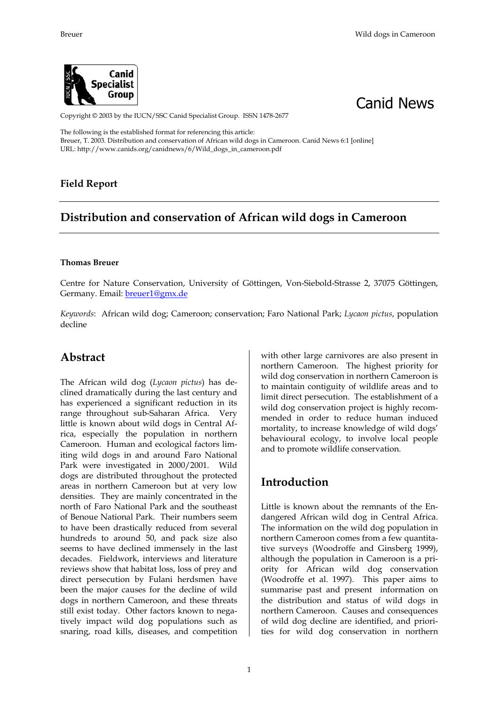



Copyright © 2003 by the IUCN/SSC Canid Specialist Group. ISSN 1478-2677

The following is the established format for referencing this article: Breuer, T. 2003. Distribution and conservation of African wild dogs in Cameroon. Canid News 6:1 [online] URL: http://www.canids.org/canidnews/6/Wild\_dogs\_in\_cameroon.pdf

#### **Field Report**

# **Distribution and conservation of African wild dogs in Cameroon**

#### **Thomas Breuer**

Centre for Nature Conservation, University of Göttingen, Von-Siebold-Strasse 2, 37075 Göttingen, Germany. Email: breuer1@gmx.de

*Keywords*: African wild dog; Cameroon; conservation; Faro National Park; *Lycaon pictus*, population decline

#### **Abstract**

The African wild dog (*Lycaon pictus*) has declined dramatically during the last century and has experienced a significant reduction in its range throughout sub-Saharan Africa. Very little is known about wild dogs in Central Africa, especially the population in northern Cameroon. Human and ecological factors limiting wild dogs in and around Faro National Park were investigated in 2000/2001. Wild dogs are distributed throughout the protected areas in northern Cameroon but at very low densities. They are mainly concentrated in the north of Faro National Park and the southeast of Benoue National Park. Their numbers seem to have been drastically reduced from several hundreds to around 50, and pack size also seems to have declined immensely in the last decades. Fieldwork, interviews and literature reviews show that habitat loss, loss of prey and direct persecution by Fulani herdsmen have been the major causes for the decline of wild dogs in northern Cameroon, and these threats still exist today. Other factors known to negatively impact wild dog populations such as snaring, road kills, diseases, and competition

with other large carnivores are also present in northern Cameroon. The highest priority for wild dog conservation in northern Cameroon is to maintain contiguity of wildlife areas and to limit direct persecution. The establishment of a wild dog conservation project is highly recommended in order to reduce human induced mortality, to increase knowledge of wild dogs' behavioural ecology, to involve local people and to promote wildlife conservation.

# **Introduction**

Little is known about the remnants of the Endangered African wild dog in Central Africa. The information on the wild dog population in northern Cameroon comes from a few quantitative surveys (Woodroffe and Ginsberg 1999), although the population in Cameroon is a priority for African wild dog conservation (Woodroffe et al. 1997). This paper aims to summarise past and present information on the distribution and status of wild dogs in northern Cameroon. Causes and consequences of wild dog decline are identified, and priorities for wild dog conservation in northern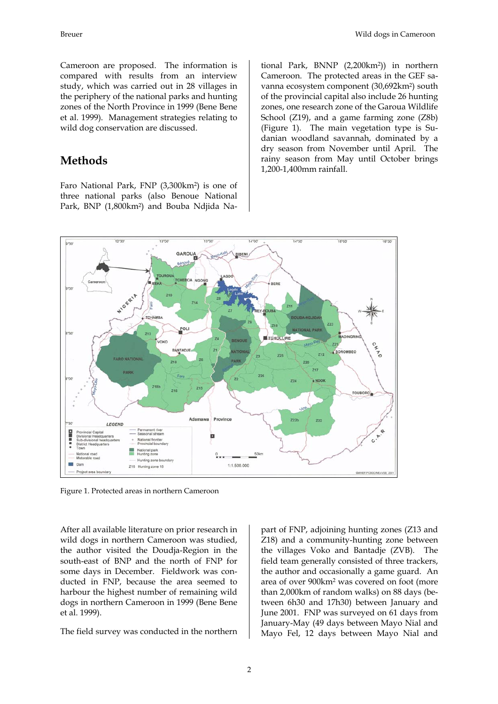Cameroon are proposed. The information is compared with results from an interview study, which was carried out in 28 villages in the periphery of the national parks and hunting zones of the North Province in 1999 (Bene Bene et al. 1999). Management strategies relating to wild dog conservation are discussed.

### **Methods**

Faro National Park, FNP (3,300km2) is one of three national parks (also Benoue National Park, BNP (1,800km2) and Bouba Ndjida National Park, BNNP (2,200km2)) in northern Cameroon. The protected areas in the GEF savanna ecosystem component (30,692km2) south of the provincial capital also include 26 hunting zones, one research zone of the Garoua Wildlife School (Z19), and a game farming zone (Z8b) (Figure 1). The main vegetation type is Sudanian woodland savannah, dominated by a dry season from November until April. The rainy season from May until October brings 1,200-1,400mm rainfall.



Figure 1. Protected areas in northern Cameroon

After all available literature on prior research in wild dogs in northern Cameroon was studied, the author visited the Doudja-Region in the south-east of BNP and the north of FNP for some days in December. Fieldwork was conducted in FNP, because the area seemed to harbour the highest number of remaining wild dogs in northern Cameroon in 1999 (Bene Bene et al. 1999).

The field survey was conducted in the northern

part of FNP, adjoining hunting zones (Z13 and Z18) and a community-hunting zone between the villages Voko and Bantadje (ZVB). The field team generally consisted of three trackers, the author and occasionally a game guard. An area of over 900km2 was covered on foot (more than 2,000km of random walks) on 88 days (between 6h30 and 17h30) between January and June 2001. FNP was surveyed on 61 days from January-May (49 days between Mayo Nial and Mayo Fel, 12 days between Mayo Nial and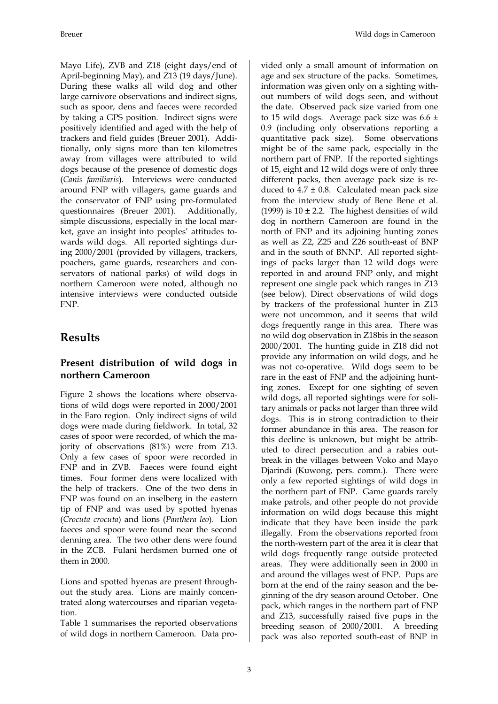Mayo Life), ZVB and Z18 (eight days/end of April-beginning May), and Z13 (19 days/June). During these walks all wild dog and other large carnivore observations and indirect signs, such as spoor, dens and faeces were recorded by taking a GPS position. Indirect signs were positively identified and aged with the help of trackers and field guides (Breuer 2001). Additionally, only signs more than ten kilometres away from villages were attributed to wild dogs because of the presence of domestic dogs (*Canis familiaris*). Interviews were conducted around FNP with villagers, game guards and the conservator of FNP using pre-formulated questionnaires (Breuer 2001). Additionally, simple discussions, especially in the local market, gave an insight into peoples' attitudes towards wild dogs. All reported sightings during 2000/2001 (provided by villagers, trackers, poachers, game guards, researchers and conservators of national parks) of wild dogs in northern Cameroon were noted, although no

# **Results**

FNP.

#### **Present distribution of wild dogs in northern Cameroon**

intensive interviews were conducted outside

Figure 2 shows the locations where observations of wild dogs were reported in 2000/2001 in the Faro region. Only indirect signs of wild dogs were made during fieldwork. In total, 32 cases of spoor were recorded, of which the majority of observations (81%) were from Z13. Only a few cases of spoor were recorded in FNP and in ZVB. Faeces were found eight times. Four former dens were localized with the help of trackers. One of the two dens in FNP was found on an inselberg in the eastern tip of FNP and was used by spotted hyenas (*Crocuta crocuta*) and lions (*Panthera leo*). Lion faeces and spoor were found near the second denning area. The two other dens were found in the ZCB. Fulani herdsmen burned one of them in 2000.

Lions and spotted hyenas are present throughout the study area. Lions are mainly concentrated along watercourses and riparian vegetation.

Table 1 summarises the reported observations of wild dogs in northern Cameroon. Data provided only a small amount of information on age and sex structure of the packs. Sometimes, information was given only on a sighting without numbers of wild dogs seen, and without the date. Observed pack size varied from one to 15 wild dogs. Average pack size was 6.6 ± 0.9 (including only observations reporting a quantitative pack size). Some observations might be of the same pack, especially in the northern part of FNP. If the reported sightings of 15, eight and 12 wild dogs were of only three different packs, then average pack size is reduced to  $4.7 \pm 0.8$ . Calculated mean pack size from the interview study of Bene Bene et al. (1999) is  $10 \pm 2.2$ . The highest densities of wild dog in northern Cameroon are found in the north of FNP and its adjoining hunting zones as well as Z2, Z25 and Z26 south-east of BNP and in the south of BNNP. All reported sightings of packs larger than 12 wild dogs were reported in and around FNP only, and might represent one single pack which ranges in Z13 (see below). Direct observations of wild dogs by trackers of the professional hunter in Z13 were not uncommon, and it seems that wild dogs frequently range in this area. There was no wild dog observation in Z18bis in the season 2000/2001. The hunting guide in Z18 did not provide any information on wild dogs, and he was not co-operative. Wild dogs seem to be rare in the east of FNP and the adjoining hunting zones. Except for one sighting of seven wild dogs, all reported sightings were for solitary animals or packs not larger than three wild dogs. This is in strong contradiction to their former abundance in this area. The reason for this decline is unknown, but might be attributed to direct persecution and a rabies outbreak in the villages between Voko and Mayo Djarindi (Kuwong, pers. comm.). There were only a few reported sightings of wild dogs in the northern part of FNP. Game guards rarely make patrols, and other people do not provide information on wild dogs because this might indicate that they have been inside the park illegally. From the observations reported from the north-western part of the area it is clear that wild dogs frequently range outside protected areas. They were additionally seen in 2000 in and around the villages west of FNP. Pups are born at the end of the rainy season and the beginning of the dry season around October. One pack, which ranges in the northern part of FNP and Z13, successfully raised five pups in the breeding season of 2000/2001. A breeding pack was also reported south-east of BNP in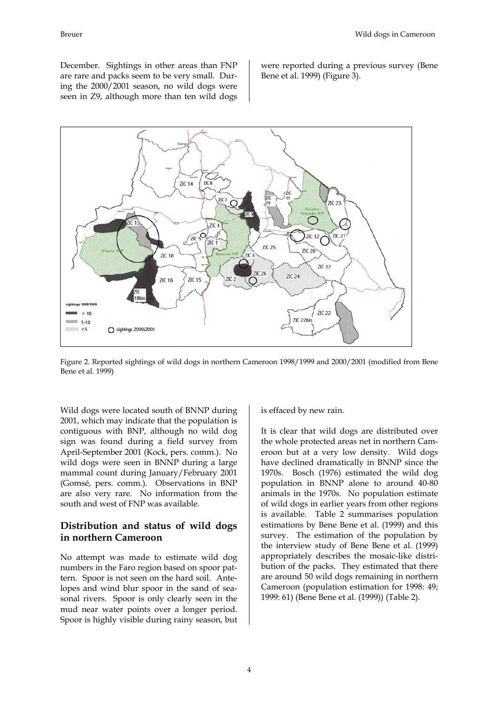December. Sightings in other areas than FNP are rare and packs seem to be very small. During the 2000/2001 season, no wild dogs were seen in Z9, although more than ten wild dogs were reported during a previous survey (Bene Bene et al. 1999) (Figure 3).



Figure 2. Reported sightings of wild dogs in northern Cameroon 1998/1999 and 2000/2001 (modified from Bene Bene et al. 1999)

Wild dogs were located south of BNNP during 2001, which may indicate that the population is contiguous with BNP, although no wild dog sign was found during a field survey from April-September 2001 (Kock, pers. comm.). No wild dogs were seen in BNNP during a large mammal count during January/February 2001 (Gomsé, pers. comm.). Observations in BNP are also very rare. No information from the south and west of FNP was available.

#### **Distribution and status of wild dogs in northern Cameroon**

No attempt was made to estimate wild dog numbers in the Faro region based on spoor pattern. Spoor is not seen on the hard soil. Antelopes and wind blur spoor in the sand of seasonal rivers. Spoor is only clearly seen in the mud near water points over a longer period. Spoor is highly visible during rainy season, but is effaced by new rain.

It is clear that wild dogs are distributed over the whole protected areas net in northern Cameroon but at a very low density. Wild dogs have declined dramatically in BNNP since the 1970s. Bosch (1976) estimated the wild dog population in BNNP alone to around 40-80 animals in the 1970s. No population estimate of wild dogs in earlier years from other regions is available. Table 2 summarises population estimations by Bene Bene et al. (1999) and this survey. The estimation of the population by the interview study of Bene Bene et al. (1999) appropriately describes the mosaic-like distribution of the packs. They estimated that there are around 50 wild dogs remaining in northern Cameroon (population estimation for 1998: 49; 1999: 61) (Bene Bene et al. (1999)) (Table 2).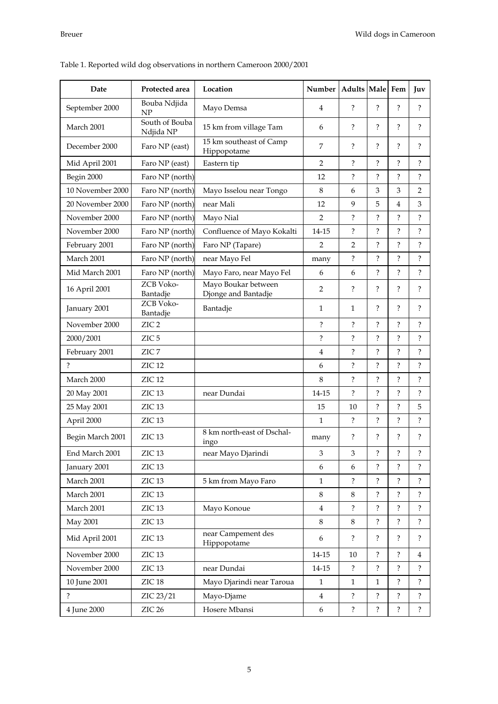| Date             | Protected area              | Location                                        | Number                    | Adults Male Fem          |                          |                          | Juv                  |
|------------------|-----------------------------|-------------------------------------------------|---------------------------|--------------------------|--------------------------|--------------------------|----------------------|
| September 2000   | Bouba Ndjida<br>NP          | Mayo Demsa                                      | $\overline{4}$            |                          | $\overline{?}$           | $\overline{\mathcal{C}}$ | $\overline{?}$       |
| March 2001       | South of Bouba<br>Ndjida NP | 15 km from village Tam<br>6                     |                           | $\overline{\mathcal{C}}$ | ?                        | $\overline{\mathcal{C}}$ | ?                    |
| December 2000    | Faro NP (east)              | 15 km southeast of Camp<br>7<br>Hippopotame     |                           | $\overline{\cdot}$       | ?                        | $\overline{\mathcal{C}}$ | $\overline{?}$       |
| Mid April 2001   | Faro NP (east)              | $\overline{2}$<br>Eastern tip                   |                           | $\overline{\mathcal{E}}$ | $\overline{?}$           | $\tilde{?}$              | $\overline{?}$       |
| Begin 2000       | Faro NP (north)             | 12                                              |                           | $\overline{?}$           | $\overline{?}$           | $\overline{?}$           | $\overline{\cdot}$   |
| 10 November 2000 | Faro NP (north)             | $\,8\,$<br>Mayo Isselou near Tongo              |                           | 6                        | 3                        | 3                        | $\overline{2}$       |
| 20 November 2000 | Faro NP (north)             | near Mali<br>12                                 |                           | 9                        | 5                        | 4                        | 3                    |
| November 2000    | Faro NP (north)             | Mayo Nial<br>2                                  |                           | $\overline{?}$           | ?                        | $\overline{?}$           | $\overline{\cdot}$   |
| November 2000    | Faro NP (north)             | $14 - 15$<br>Confluence of Mayo Kokalti         |                           | $\ddot{?}$               | ?                        | $\tilde{?}$              | $\overline{\cdot}$   |
| February 2001    | Faro NP (north)             | Faro NP (Tapare)<br>2                           |                           | 2                        | ?                        | ?                        | ?                    |
| March 2001       | Faro NP (north)             | near Mayo Fel<br>many                           |                           | $\overline{?}$           | $\overline{\mathcal{E}}$ | $\overline{?}$           | $\ddot{?}$           |
| Mid March 2001   | Faro NP (north)             | Mayo Faro, near Mayo Fel<br>6                   |                           | 6                        | ?                        | $\overline{?}$           | $\overline{\cdot}$   |
| 16 April 2001    | ZCB Voko-<br>Bantadje       | Mayo Boukar between<br>Djonge and Bantadje      | 2                         |                          | $\overline{?}$           | $\overline{\mathcal{C}}$ | $\overline{?}$       |
| January 2001     | ZCB Voko-<br>Bantadje       | Bantadje                                        | $\mathbf{1}$              | $\mathbf{1}$             | ?                        | ?                        | ?                    |
| November 2000    | ZIC <sub>2</sub>            |                                                 | ?                         | ?                        | ?                        | ?                        | $\overline{?}$       |
| 2000/2001        | ZIC <sub>5</sub>            |                                                 | $\overline{\mathcal{E}}$  | $\overline{?}$           | ?                        | ?                        | $\overline{?}$       |
| February 2001    | ZIC <sub>7</sub>            |                                                 | $\overline{4}$            | $\overline{\cdot}$       | $\overline{\mathcal{C}}$ | $\overline{\cdot}$       | $\overline{\cdot}$   |
| ?                | ZIC <sub>12</sub>           |                                                 | 6                         | ?                        | ?                        | ?                        | ?                    |
| March 2000       | ZIC <sub>12</sub>           |                                                 | 8                         | $\overline{\mathcal{C}}$ | $\overline{\phantom{a}}$ | $\overline{\mathcal{C}}$ | $\ddot{?}$           |
| 20 May 2001      | ZIC <sub>13</sub>           | near Dundai                                     | 14-15                     | $\ddot{?}$               | ?                        | $\overline{?}$           | $\ddot{?}$           |
| 25 May 2001      | ZIC <sub>13</sub>           |                                                 | 15                        | 10                       | ?                        | ?                        | 5                    |
| April 2000       | ZIC <sub>13</sub>           |                                                 | $\mathbf{1}$              | ?                        | ?                        | ?                        | $\overline{\cdot}$   |
| Begin March 2001 | ZIC <sub>13</sub>           | 8 km north-east of Dschal-<br>?<br>many<br>ingo |                           |                          | ?                        | ?                        | $\ddot{?}$           |
| End March 2001   | ZIC <sub>13</sub>           | near Mayo Djarindi                              | $\ensuremath{\mathbf{3}}$ | $\mathfrak{Z}$           | $\ddot{\cdot}$           | $\ddot{?}$               | $\ddot{\mathcal{E}}$ |
| January 2001     | ZIC <sub>13</sub>           |                                                 | 6                         | 6                        | $\overline{?}$           | $\overline{?}$           | $\ddot{\phantom{0}}$ |
| March 2001       | ZIC <sub>13</sub>           | 5 km from Mayo Faro                             | $\mathbf{1}$              | $\overline{?}$           | ?                        | ?                        | ?                    |
| March 2001       | ZIC <sub>13</sub>           |                                                 | 8                         | 8                        | $\overline{?}$           | $\overline{?}$           | $\ddot{?}$           |
| March 2001       | ZIC <sub>13</sub>           | Mayo Konoue                                     | $\overline{4}$            | $\ddot{?}$               | $\overline{\mathcal{E}}$ | $\overline{?}$           | $\ddot{?}$           |
| <b>May 2001</b>  | ZIC <sub>13</sub>           |                                                 | 8                         | 8                        | $\overline{?}$           | $\ddot{?}$               | $\ddot{?}$           |
| Mid April 2001   | ZIC <sub>13</sub>           | near Campement des<br>6<br>Hippopotame          |                           | $\overline{?}$           | ?                        | ?                        | $\ddot{?}$           |
| November 2000    | ZIC <sub>13</sub>           |                                                 | $14 - 15$                 | 10                       | $\ddot{?}$               | ?                        | 4                    |
| November 2000    | ZIC <sub>13</sub>           | near Dundai                                     | $14 - 15$                 | $\ddot{?}$               | $\ddot{?}$               | $\overline{?}$           | $\ddot{?}$           |
| 10 June 2001     | ZIC <sub>18</sub>           | Mayo Djarindi near Taroua                       | $\mathbf{1}$              | $\mathbf{1}$             | $\mathbf{1}$             | $\ddot{?}$               | $\ddot{?}$           |
| $\overline{?}$   | ZIC 23/21                   | Mayo-Djame                                      | 4                         | ?                        | ?                        | ?                        | ?                    |
| 4 June 2000      | ZIC <sub>26</sub>           | Hosere Mbansi                                   | 6                         | $\ddot{?}$               | $\ddot{?}$               | $\ddot{?}$               | $\ddot{?}$           |

### Table 1. Reported wild dog observations in northern Cameroon 2000/2001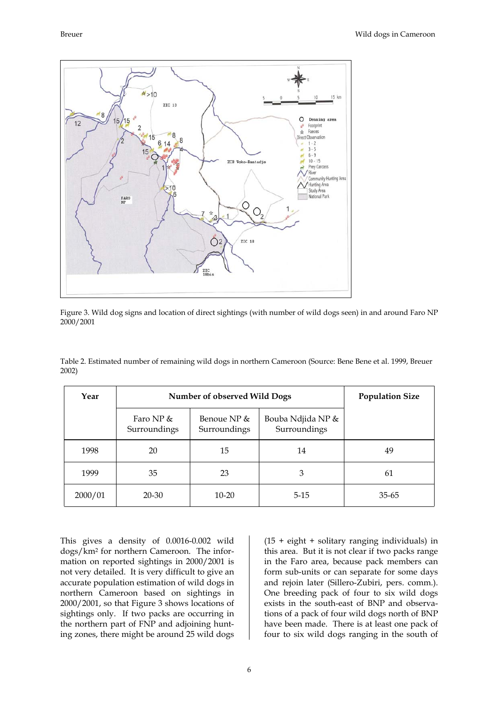

Figure 3. Wild dog signs and location of direct sightings (with number of wild dogs seen) in and around Faro NP 2000/2001

| Year    | <b>Number of observed Wild Dogs</b> | <b>Population Size</b>      |                                   |           |
|---------|-------------------------------------|-----------------------------|-----------------------------------|-----------|
|         | Faro NP $&$<br>Surroundings         | Benoue NP &<br>Surroundings | Bouba Ndjida NP &<br>Surroundings |           |
| 1998    | 20                                  | 15                          | 14                                | 49        |
| 1999    | 35                                  | 23                          | 3                                 | 61        |
| 2000/01 | 20-30                               | $10 - 20$                   | $5 - 15$                          | $35 - 65$ |

Table 2. Estimated number of remaining wild dogs in northern Cameroon (Source: Bene Bene et al. 1999, Breuer 2002)

This gives a density of 0.0016-0.002 wild dogs/km2 for northern Cameroon. The information on reported sightings in 2000/2001 is not very detailed. It is very difficult to give an accurate population estimation of wild dogs in northern Cameroon based on sightings in 2000/2001, so that Figure 3 shows locations of sightings only. If two packs are occurring in the northern part of FNP and adjoining hunting zones, there might be around 25 wild dogs (15 + eight + solitary ranging individuals) in this area. But it is not clear if two packs range in the Faro area, because pack members can form sub-units or can separate for some days and rejoin later (Sillero-Zubiri, pers. comm.). One breeding pack of four to six wild dogs exists in the south-east of BNP and observations of a pack of four wild dogs north of BNP have been made. There is at least one pack of four to six wild dogs ranging in the south of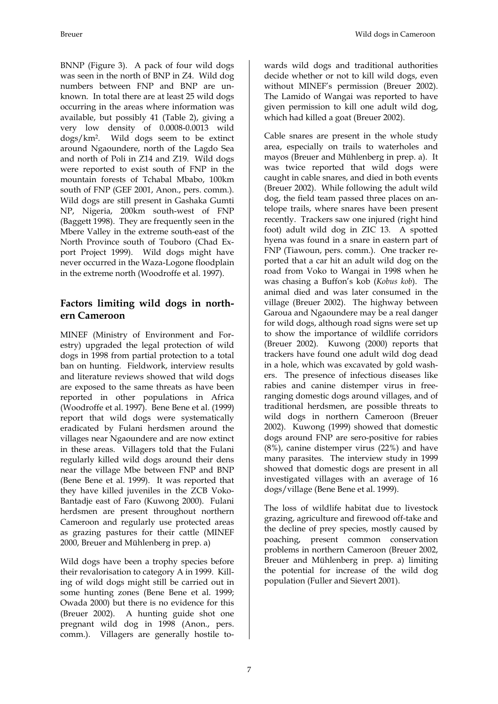Breuer Wild dogs in Cameroon

BNNP (Figure 3). A pack of four wild dogs was seen in the north of BNP in Z4. Wild dog numbers between FNP and BNP are unknown. In total there are at least 25 wild dogs occurring in the areas where information was available, but possibly 41 (Table 2), giving a very low density of 0.0008-0.0013 wild dogs/km2. Wild dogs seem to be extinct around Ngaoundere, north of the Lagdo Sea and north of Poli in Z14 and Z19. Wild dogs were reported to exist south of FNP in the mountain forests of Tchabal Mbabo, 100km south of FNP (GEF 2001, Anon., pers. comm.). Wild dogs are still present in Gashaka Gumti NP, Nigeria, 200km south-west of FNP (Baggett 1998). They are frequently seen in the Mbere Valley in the extreme south-east of the North Province south of Touboro (Chad Export Project 1999). Wild dogs might have never occurred in the Waza-Logone floodplain in the extreme north (Woodroffe et al. 1997).

#### **Factors limiting wild dogs in northern Cameroon**

MINEF (Ministry of Environment and Forestry) upgraded the legal protection of wild dogs in 1998 from partial protection to a total ban on hunting. Fieldwork, interview results and literature reviews showed that wild dogs are exposed to the same threats as have been reported in other populations in Africa (Woodroffe et al. 1997). Bene Bene et al. (1999) report that wild dogs were systematically eradicated by Fulani herdsmen around the villages near Ngaoundere and are now extinct in these areas. Villagers told that the Fulani regularly killed wild dogs around their dens near the village Mbe between FNP and BNP (Bene Bene et al. 1999). It was reported that they have killed juveniles in the ZCB Voko-Bantadje east of Faro (Kuwong 2000). Fulani herdsmen are present throughout northern Cameroon and regularly use protected areas as grazing pastures for their cattle (MINEF 2000, Breuer and Mühlenberg in prep. a)

Wild dogs have been a trophy species before their revalorisation to category A in 1999. Killing of wild dogs might still be carried out in some hunting zones (Bene Bene et al. 1999; Owada 2000) but there is no evidence for this (Breuer 2002). A hunting guide shot one pregnant wild dog in 1998 (Anon., pers. comm.). Villagers are generally hostile towards wild dogs and traditional authorities decide whether or not to kill wild dogs, even without MINEF's permission (Breuer 2002). The Lamido of Wangai was reported to have given permission to kill one adult wild dog, which had killed a goat (Breuer 2002).

Cable snares are present in the whole study area, especially on trails to waterholes and mayos (Breuer and Mühlenberg in prep. a). It was twice reported that wild dogs were caught in cable snares, and died in both events (Breuer 2002). While following the adult wild dog, the field team passed three places on antelope trails, where snares have been present recently. Trackers saw one injured (right hind foot) adult wild dog in ZIC 13. A spotted hyena was found in a snare in eastern part of FNP (Tiawoun, pers. comm.). One tracker reported that a car hit an adult wild dog on the road from Voko to Wangai in 1998 when he was chasing a Buffon's kob (*Kobus kob*). The animal died and was later consumed in the village (Breuer 2002). The highway between Garoua and Ngaoundere may be a real danger for wild dogs, although road signs were set up to show the importance of wildlife corridors (Breuer 2002). Kuwong (2000) reports that trackers have found one adult wild dog dead in a hole, which was excavated by gold washers. The presence of infectious diseases like rabies and canine distemper virus in freeranging domestic dogs around villages, and of traditional herdsmen, are possible threats to wild dogs in northern Cameroon (Breuer 2002). Kuwong (1999) showed that domestic dogs around FNP are sero-positive for rabies (8%), canine distemper virus (22%) and have many parasites. The interview study in 1999 showed that domestic dogs are present in all investigated villages with an average of 16 dogs/village (Bene Bene et al. 1999).

The loss of wildlife habitat due to livestock grazing, agriculture and firewood off-take and the decline of prey species, mostly caused by poaching, present common conservation problems in northern Cameroon (Breuer 2002, Breuer and Mühlenberg in prep. a) limiting the potential for increase of the wild dog population (Fuller and Sievert 2001).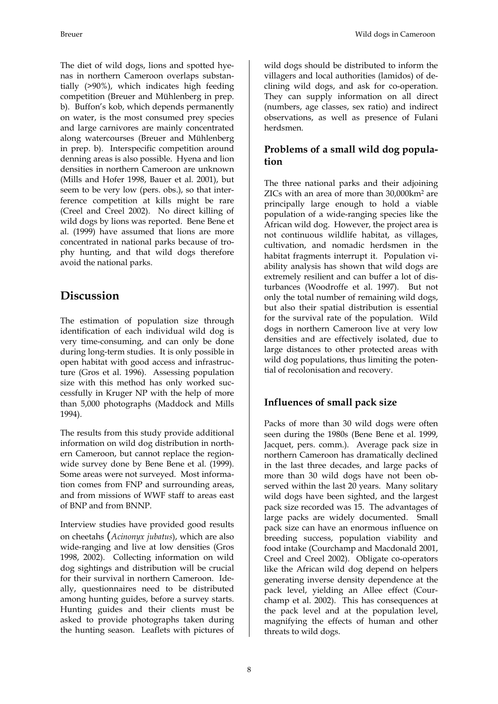The diet of wild dogs, lions and spotted hyenas in northern Cameroon overlaps substantially (>90%), which indicates high feeding competition (Breuer and Mühlenberg in prep. b). Buffon's kob, which depends permanently on water, is the most consumed prey species and large carnivores are mainly concentrated along watercourses (Breuer and Mühlenberg in prep. b). Interspecific competition around denning areas is also possible. Hyena and lion densities in northern Cameroon are unknown (Mills and Hofer 1998, Bauer et al. 2001), but seem to be very low (pers. obs.), so that interference competition at kills might be rare (Creel and Creel 2002). No direct killing of wild dogs by lions was reported. Bene Bene et al. (1999) have assumed that lions are more concentrated in national parks because of trophy hunting, and that wild dogs therefore avoid the national parks.

# **Discussion**

The estimation of population size through identification of each individual wild dog is very time-consuming, and can only be done during long-term studies. It is only possible in open habitat with good access and infrastructure (Gros et al. 1996). Assessing population size with this method has only worked successfully in Kruger NP with the help of more than 5,000 photographs (Maddock and Mills 1994).

The results from this study provide additional information on wild dog distribution in northern Cameroon, but cannot replace the regionwide survey done by Bene Bene et al. (1999). Some areas were not surveyed. Most information comes from FNP and surrounding areas, and from missions of WWF staff to areas east of BNP and from BNNP.

Interview studies have provided good results on cheetahs (*Acinonyx jubatus*), which are also wide-ranging and live at low densities (Gros 1998, 2002). Collecting information on wild dog sightings and distribution will be crucial for their survival in northern Cameroon. Ideally, questionnaires need to be distributed among hunting guides, before a survey starts. Hunting guides and their clients must be asked to provide photographs taken during the hunting season. Leaflets with pictures of wild dogs should be distributed to inform the villagers and local authorities (lamidos) of declining wild dogs, and ask for co-operation. They can supply information on all direct (numbers, age classes, sex ratio) and indirect observations, as well as presence of Fulani herdsmen.

#### **Problems of a small wild dog population**

The three national parks and their adjoining ZICs with an area of more than 30,000km2 are principally large enough to hold a viable population of a wide-ranging species like the African wild dog. However, the project area is not continuous wildlife habitat, as villages, cultivation, and nomadic herdsmen in the habitat fragments interrupt it. Population viability analysis has shown that wild dogs are extremely resilient and can buffer a lot of disturbances (Woodroffe et al. 1997). But not only the total number of remaining wild dogs, but also their spatial distribution is essential for the survival rate of the population. Wild dogs in northern Cameroon live at very low densities and are effectively isolated, due to large distances to other protected areas with wild dog populations, thus limiting the potential of recolonisation and recovery.

#### **Influences of small pack size**

Packs of more than 30 wild dogs were often seen during the 1980s (Bene Bene et al. 1999, Jacquet, pers. comm.). Average pack size in northern Cameroon has dramatically declined in the last three decades, and large packs of more than 30 wild dogs have not been observed within the last 20 years. Many solitary wild dogs have been sighted, and the largest pack size recorded was 15. The advantages of large packs are widely documented. Small pack size can have an enormous influence on breeding success, population viability and food intake (Courchamp and Macdonald 2001, Creel and Creel 2002). Obligate co-operators like the African wild dog depend on helpers generating inverse density dependence at the pack level, yielding an Allee effect (Courchamp et al. 2002). This has consequences at the pack level and at the population level, magnifying the effects of human and other threats to wild dogs.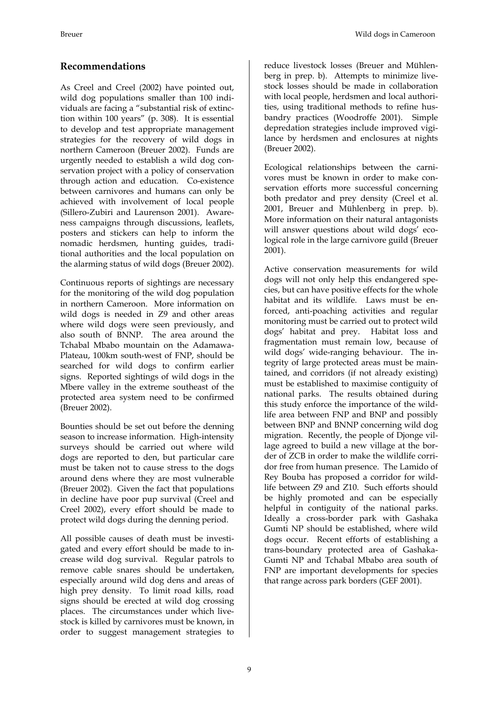### **Recommendations**

As Creel and Creel (2002) have pointed out, wild dog populations smaller than 100 individuals are facing a "substantial risk of extinction within 100 years" (p. 308). It is essential to develop and test appropriate management strategies for the recovery of wild dogs in northern Cameroon (Breuer 2002). Funds are urgently needed to establish a wild dog conservation project with a policy of conservation through action and education. Co-existence between carnivores and humans can only be achieved with involvement of local people (Sillero-Zubiri and Laurenson 2001). Awareness campaigns through discussions, leaflets, posters and stickers can help to inform the nomadic herdsmen, hunting guides, traditional authorities and the local population on the alarming status of wild dogs (Breuer 2002).

Continuous reports of sightings are necessary for the monitoring of the wild dog population in northern Cameroon. More information on wild dogs is needed in Z9 and other areas where wild dogs were seen previously, and also south of BNNP. The area around the Tchabal Mbabo mountain on the Adamawa-Plateau, 100km south-west of FNP, should be searched for wild dogs to confirm earlier signs. Reported sightings of wild dogs in the Mbere valley in the extreme southeast of the protected area system need to be confirmed (Breuer 2002).

Bounties should be set out before the denning season to increase information. High-intensity surveys should be carried out where wild dogs are reported to den, but particular care must be taken not to cause stress to the dogs around dens where they are most vulnerable (Breuer 2002). Given the fact that populations in decline have poor pup survival (Creel and Creel 2002), every effort should be made to protect wild dogs during the denning period.

All possible causes of death must be investigated and every effort should be made to increase wild dog survival. Regular patrols to remove cable snares should be undertaken, especially around wild dog dens and areas of high prey density. To limit road kills, road signs should be erected at wild dog crossing places. The circumstances under which livestock is killed by carnivores must be known, in order to suggest management strategies to

reduce livestock losses (Breuer and Mühlenberg in prep. b). Attempts to minimize livestock losses should be made in collaboration with local people, herdsmen and local authorities, using traditional methods to refine husbandry practices (Woodroffe 2001). Simple depredation strategies include improved vigilance by herdsmen and enclosures at nights (Breuer 2002).

Ecological relationships between the carnivores must be known in order to make conservation efforts more successful concerning both predator and prey density (Creel et al. 2001, Breuer and Mühlenberg in prep. b). More information on their natural antagonists will answer questions about wild dogs' ecological role in the large carnivore guild (Breuer 2001).

Active conservation measurements for wild dogs will not only help this endangered species, but can have positive effects for the whole habitat and its wildlife. Laws must be enforced, anti-poaching activities and regular monitoring must be carried out to protect wild dogs' habitat and prey. Habitat loss and fragmentation must remain low, because of wild dogs' wide-ranging behaviour. The integrity of large protected areas must be maintained, and corridors (if not already existing) must be established to maximise contiguity of national parks. The results obtained during this study enforce the importance of the wildlife area between FNP and BNP and possibly between BNP and BNNP concerning wild dog migration. Recently, the people of Djonge village agreed to build a new village at the border of ZCB in order to make the wildlife corridor free from human presence. The Lamido of Rey Bouba has proposed a corridor for wildlife between Z9 and Z10. Such efforts should be highly promoted and can be especially helpful in contiguity of the national parks. Ideally a cross-border park with Gashaka Gumti NP should be established, where wild dogs occur. Recent efforts of establishing a trans-boundary protected area of Gashaka-Gumti NP and Tchabal Mbabo area south of FNP are important developments for species that range across park borders (GEF 2001).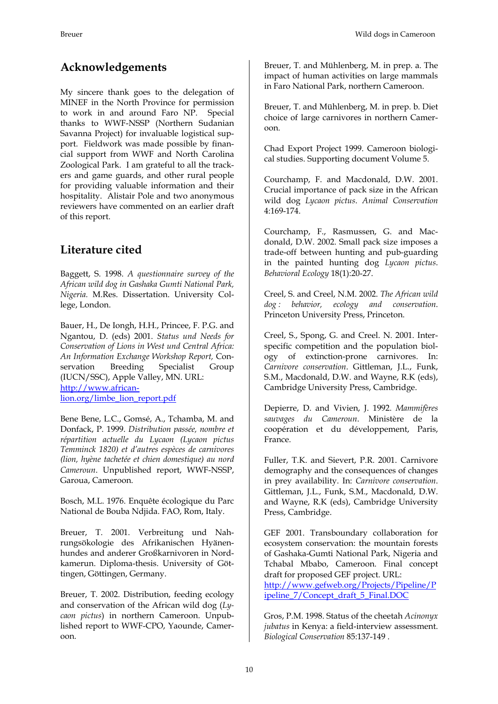# **Acknowledgements**

My sincere thank goes to the delegation of MINEF in the North Province for permission to work in and around Faro NP. Special thanks to WWF-NSSP (Northern Sudanian Savanna Project) for invaluable logistical support. Fieldwork was made possible by financial support from WWF and North Carolina Zoological Park. I am grateful to all the trackers and game guards, and other rural people for providing valuable information and their hospitality. Alistair Pole and two anonymous reviewers have commented on an earlier draft of this report.

# **Literature cited**

Baggett, S. 1998. *A questionnaire survey of the African wild dog in Gashaka Gumti National Park, Nigeria.* M.Res. Dissertation. University College, London.

Bauer, H., De Iongh, H.H., Princee, F. P.G. and Ngantou, D. (eds) 2001. *Status und Needs for Conservation of Lions in West und Central Africa: An Information Exchange Workshop Report,* Conservation Breeding Specialist Group (IUCN/SSC), Apple Valley, MN. URL: [http://www.african](http://www.african-lion.org/limbe_lion_report.pdf)[lion.org/limbe\\_lion\\_report.pdf](http://www.african-lion.org/limbe_lion_report.pdf)

Bene Bene, L.C., Gomsé, A., Tchamba, M. and Donfack, P. 1999. *Distribution passée, nombre et répartition actuelle du Lycaon (Lycaon pictus Temminck 1820) et d'autres espèces de carnivores (lion, hyène tachetée et chien domestique) au nord Cameroun*. Unpublished report, WWF-NSSP, Garoua, Cameroon.

Bosch, M.L. 1976. Enquête écologique du Parc National de Bouba Ndjida. FAO, Rom, Italy.

Breuer, T. 2001. Verbreitung und Nahrungsökologie des Afrikanischen Hyänenhundes and anderer Großkarnivoren in Nordkamerun. Diploma-thesis. University of Göttingen, Göttingen, Germany.

Breuer, T. 2002. Distribution, feeding ecology and conservation of the African wild dog (*Lycaon pictus*) in northern Cameroon. Unpublished report to WWF-CPO, Yaounde, Cameroon.

Breuer, T. and Mühlenberg, M. in prep. a. The impact of human activities on large mammals in Faro National Park, northern Cameroon.

Breuer, T. and Mühlenberg, M. in prep. b. Diet choice of large carnivores in northern Cameroon.

Chad Export Project 1999. Cameroon biological studies. Supporting document Volume 5.

Courchamp, F. and Macdonald, D.W. 2001. Crucial importance of pack size in the African wild dog *Lycaon pictus*. *Animal Conservation*  4:169-174.

Courchamp, F., Rasmussen, G. and Macdonald, D.W. 2002. Small pack size imposes a trade-off between hunting and pub-guarding in the painted hunting dog *Lycaon pictus*. *Behavioral Ecology* 18(1):20-27.

Creel, S. and Creel, N.M. 2002. *The African wild dog : behavior, ecology and conservation*. Princeton University Press, Princeton.

Creel, S., Spong, G. and Creel. N. 2001. Interspecific competition and the population biology of extinction-prone carnivores. In: *Carnivore conservation*. Gittleman, J.L., Funk, S.M., Macdonald, D.W. and Wayne, R.K (eds), Cambridge University Press, Cambridge.

Depierre, D. and Vivien, J. 1992. *Mammifères sauvages du Cameroun*. Ministère de la coopération et du développement, Paris, France.

Fuller, T.K. and Sievert, P.R. 2001. Carnivore demography and the consequences of changes in prey availability. In: *Carnivore conservation*. Gittleman, J.L., Funk, S.M., Macdonald, D.W. and Wayne, R.K (eds), Cambridge University Press, Cambridge.

GEF 2001. Transboundary collaboration for ecosystem conservation: the mountain forests of Gashaka-Gumti National Park, Nigeria and Tchabal Mbabo, Cameroon. Final concept draft for proposed GEF project. URL: [http://www.gefweb.org/Projects/Pipeline/P](http://www.gefweb.org/Projects/Pipeline/Pipeline_7/Concept_draft_5_Final.DOC) [ipeline\\_7/Concept\\_draft\\_5\\_Final.DOC](http://www.gefweb.org/Projects/Pipeline/Pipeline_7/Concept_draft_5_Final.DOC)

Gros, P.M. 1998. Status of the cheetah *Acinonyx jubatus* in Kenya: a field-interview assessment. *Biological Conservation* 85:137-149 .